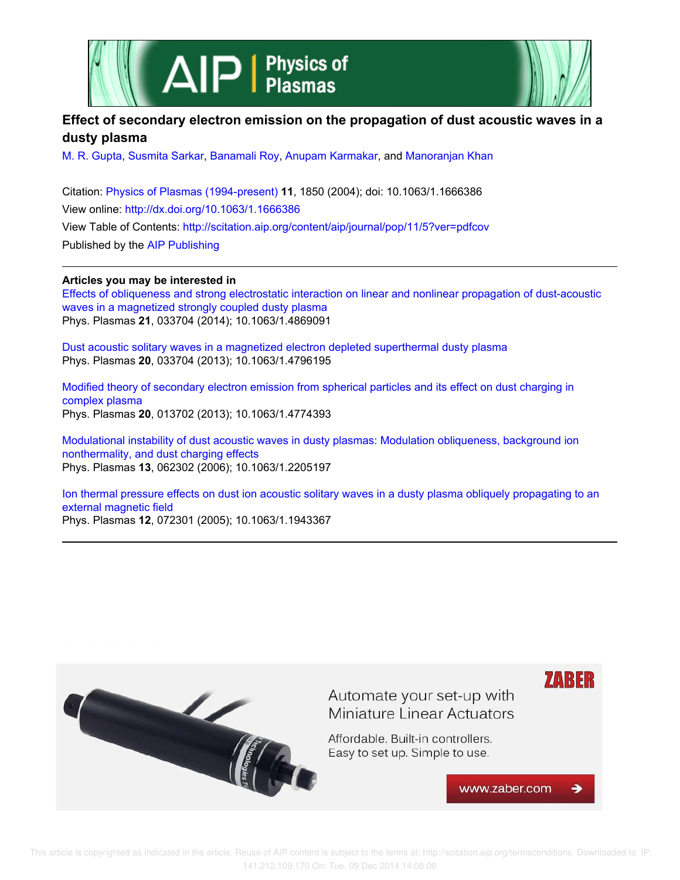



## **Effect of secondary electron emission on the propagation of dust acoustic waves in a dusty plasma**

M. R. Gupta, Susmita Sarkar, Banamali Roy, Anupam Karmakar, and Manoranjan Khan

Citation: Physics of Plasmas (1994-present) **11**, 1850 (2004); doi: 10.1063/1.1666386 View online: http://dx.doi.org/10.1063/1.1666386 View Table of Contents: http://scitation.aip.org/content/aip/journal/pop/11/5?ver=pdfcov Published by the AIP Publishing

## **Articles you may be interested in**

Effects of obliqueness and strong electrostatic interaction on linear and nonlinear propagation of dust-acoustic waves in a magnetized strongly coupled dusty plasma Phys. Plasmas **21**, 033704 (2014); 10.1063/1.4869091

Dust acoustic solitary waves in a magnetized electron depleted superthermal dusty plasma Phys. Plasmas **20**, 033704 (2013); 10.1063/1.4796195

Modified theory of secondary electron emission from spherical particles and its effect on dust charging in complex plasma Phys. Plasmas **20**, 013702 (2013); 10.1063/1.4774393

Modulational instability of dust acoustic waves in dusty plasmas: Modulation obliqueness, background ion nonthermality, and dust charging effects Phys. Plasmas **13**, 062302 (2006); 10.1063/1.2205197

Ion thermal pressure effects on dust ion acoustic solitary waves in a dusty plasma obliquely propagating to an external magnetic field Phys. Plasmas **12**, 072301 (2005); 10.1063/1.1943367

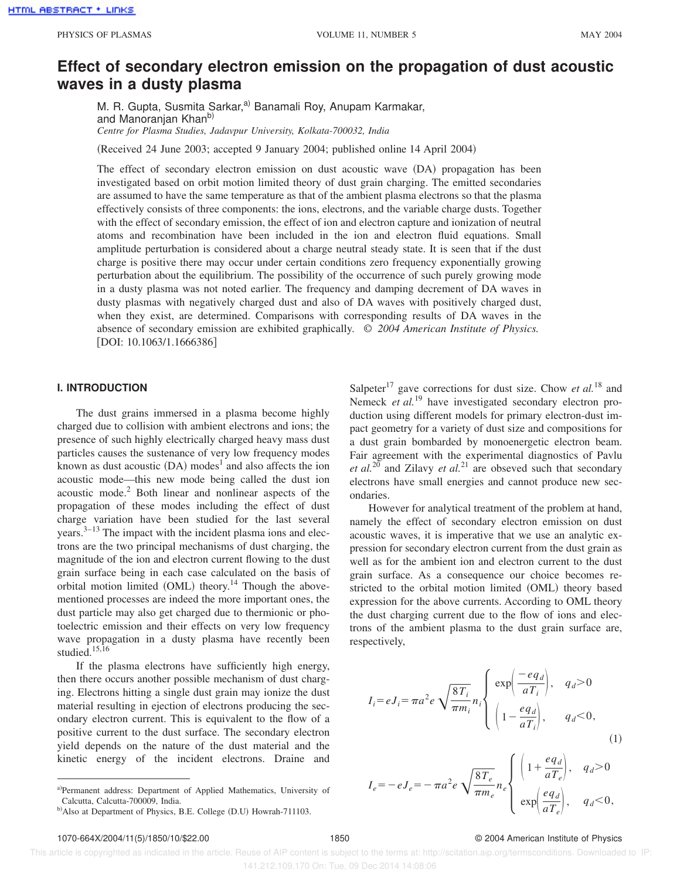# **Effect of secondary electron emission on the propagation of dust acoustic waves in a dusty plasma**

M. R. Gupta, Susmita Sarkar,<sup>a)</sup> Banamali Roy, Anupam Karmakar, and Manoranjan Khan<sup>b)</sup> *Centre for Plasma Studies, Jadavpur University, Kolkata-700032, India*

(Received 24 June 2003; accepted 9 January 2004; published online 14 April 2004)

The effect of secondary electron emission on dust acoustic wave (DA) propagation has been investigated based on orbit motion limited theory of dust grain charging. The emitted secondaries are assumed to have the same temperature as that of the ambient plasma electrons so that the plasma effectively consists of three components: the ions, electrons, and the variable charge dusts. Together with the effect of secondary emission, the effect of ion and electron capture and ionization of neutral atoms and recombination have been included in the ion and electron fluid equations. Small amplitude perturbation is considered about a charge neutral steady state. It is seen that if the dust charge is positive there may occur under certain conditions zero frequency exponentially growing perturbation about the equilibrium. The possibility of the occurrence of such purely growing mode in a dusty plasma was not noted earlier. The frequency and damping decrement of DA waves in dusty plasmas with negatively charged dust and also of DA waves with positively charged dust, when they exist, are determined. Comparisons with corresponding results of DA waves in the absence of secondary emission are exhibited graphically. © *2004 American Institute of Physics.* [DOI: 10.1063/1.1666386]

#### **I. INTRODUCTION**

The dust grains immersed in a plasma become highly charged due to collision with ambient electrons and ions; the presence of such highly electrically charged heavy mass dust particles causes the sustenance of very low frequency modes known as dust acoustic  $(DA)$  modes<sup>1</sup> and also affects the ion acoustic mode—this new mode being called the dust ion acoustic mode.<sup>2</sup> Both linear and nonlinear aspects of the propagation of these modes including the effect of dust charge variation have been studied for the last several  $years.<sup>3–13</sup>$  The impact with the incident plasma ions and electrons are the two principal mechanisms of dust charging, the magnitude of the ion and electron current flowing to the dust grain surface being in each case calculated on the basis of orbital motion limited  $(OML)$  theory.<sup>14</sup> Though the abovementioned processes are indeed the more important ones, the dust particle may also get charged due to thermionic or photoelectric emission and their effects on very low frequency wave propagation in a dusty plasma have recently been studied.<sup>15,16</sup>

If the plasma electrons have sufficiently high energy, then there occurs another possible mechanism of dust charging. Electrons hitting a single dust grain may ionize the dust material resulting in ejection of electrons producing the secondary electron current. This is equivalent to the flow of a positive current to the dust surface. The secondary electron yield depends on the nature of the dust material and the kinetic energy of the incident electrons. Draine and

Salpeter<sup>17</sup> gave corrections for dust size. Chow *et al.*<sup>18</sup> and Nemeck *et al.*<sup>19</sup> have investigated secondary electron production using different models for primary electron-dust impact geometry for a variety of dust size and compositions for a dust grain bombarded by monoenergetic electron beam. Fair agreement with the experimental diagnostics of Pavlu *et al.*<sup>20</sup> and Zilavy *et al.*<sup>21</sup> are obseved such that secondary electrons have small energies and cannot produce new secondaries.

However for analytical treatment of the problem at hand, namely the effect of secondary electron emission on dust acoustic waves, it is imperative that we use an analytic expression for secondary electron current from the dust grain as well as for the ambient ion and electron current to the dust grain surface. As a consequence our choice becomes restricted to the orbital motion limited (OML) theory based expression for the above currents. According to OML theory the dust charging current due to the flow of ions and electrons of the ambient plasma to the dust grain surface are, respectively,

$$
I_i = eJ_i = \pi a^2 e \sqrt{\frac{8T_i}{\pi m_i}} n_i \begin{cases} \exp\left(\frac{-eq_d}{aT_i}\right), & q_d > 0\\ \left(1 - \frac{eq_d}{aT_i}\right), & q_d < 0, \end{cases}
$$
(1)

$$
I_e = -eJ_e = -\pi a^2 e \sqrt{\frac{8T_e}{\pi m_e}} n_e \begin{cases} \left(1 + \frac{eq_d}{aT_e}\right), & q_d > 0 \\ \exp\left(\frac{eq_d}{aT_e}\right), & q_d < 0, \end{cases}
$$

#### 1070-664X/2004/11(5)/1850/10/\$22.00 1850 © 2004 American Institute of Physics

a)Permanent address: Department of Applied Mathematics, University of Calcutta, Calcutta-700009, India.

b)Also at Department of Physics, B.E. College (D.U) Howrah-711103.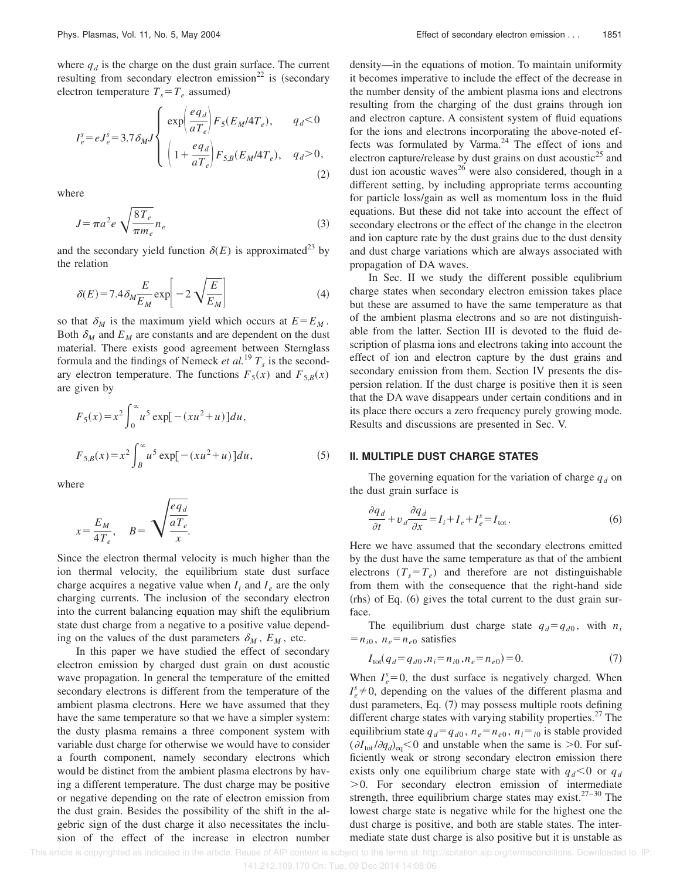where  $q_d$  is the charge on the dust grain surface. The current resulting from secondary electron emission<sup>22</sup> is (secondary electron temperature  $T_s = T_e$  assumed)

$$
I_e^s = eJ_e^s = 3.7 \delta_M J \left\{ \begin{array}{l} \exp\left(\frac{eq_d}{aT_e}\right) F_5(E_M/4T_e), \qquad q_d < 0\\ \left(1 + \frac{eq_d}{aT_e}\right) F_{5,B}(E_M/4T_e), \quad q_d > 0, \end{array} \right. \tag{2}
$$

where

$$
J = \pi a^2 e \sqrt{\frac{8T_e}{\pi m_e}} n_e
$$
 (3)

and the secondary yield function  $\delta(E)$  is approximated<sup>23</sup> by the relation

$$
\delta(E) = 7.4 \delta_M \frac{E}{E_M} \exp\left[-2\sqrt{\frac{E}{E_M}}\right]
$$
 (4)

so that  $\delta_M$  is the maximum yield which occurs at  $E = E_M$ . Both  $\delta_M$  and  $E_M$  are constants and are dependent on the dust material. There exists good agreement between Sternglass formula and the findings of Nemeck *et al.*<sup>19</sup>  $T_s$  is the secondary electron temperature. The functions  $F_5(x)$  and  $F_{5,B}(x)$ are given by

$$
F_5(x) = x^2 \int_0^\infty u^5 \exp[-(xu^2 + u)] du,
$$
  

$$
F_{5,B}(x) = x^2 \int_B^\infty u^5 \exp[-(xu^2 + u)] du,
$$
 (5)

where

$$
x = \frac{E_M}{4T_e}, \quad B = \sqrt{\frac{eq_d}{\frac{aT_e}{x}}}
$$

Since the electron thermal velocity is much higher than the ion thermal velocity, the equilibrium state dust surface charge acquires a negative value when  $I_i$  and  $I_e$  are the only charging currents. The inclusion of the secondary electron into the current balancing equation may shift the equlibrium state dust charge from a negative to a positive value depending on the values of the dust parameters  $\delta_M$ ,  $E_M$ , etc.

In this paper we have studied the effect of secondary electron emission by charged dust grain on dust acoustic wave propagation. In general the temperature of the emitted secondary electrons is different from the temperature of the ambient plasma electrons. Here we have assumed that they have the same temperature so that we have a simpler system: the dusty plasma remains a three component system with variable dust charge for otherwise we would have to consider a fourth component, namely secondary electrons which would be distinct from the ambient plasma electrons by having a different temperature. The dust charge may be positive or negative depending on the rate of electron emission from the dust grain. Besides the possibility of the shift in the algebric sign of the dust charge it also necessitates the inclusion of the effect of the increase in electron number density—in the equations of motion. To maintain uniformity it becomes imperative to include the effect of the decrease in the number density of the ambient plasma ions and electrons resulting from the charging of the dust grains through ion and electron capture. A consistent system of fluid equations for the ions and electrons incorporating the above-noted effects was formulated by Varma. $24$  The effect of ions and electron capture/release by dust grains on dust acoustic<sup>25</sup> and dust ion acoustic waves<sup>26</sup> were also considered, though in a different setting, by including appropriate terms accounting for particle loss/gain as well as momentum loss in the fluid equations. But these did not take into account the effect of secondary electrons or the effect of the change in the electron and ion capture rate by the dust grains due to the dust density and dust charge variations which are always associated with propagation of DA waves.

In Sec. II we study the different possible equlibrium charge states when secondary electron emission takes place but these are assumed to have the same temperature as that of the ambient plasma electrons and so are not distinguishable from the latter. Section III is devoted to the fluid description of plasma ions and electrons taking into account the effect of ion and electron capture by the dust grains and secondary emission from them. Section IV presents the dispersion relation. If the dust charge is positive then it is seen that the DA wave disappears under certain conditions and in its place there occurs a zero frequency purely growing mode. Results and discussions are presented in Sec. V.

#### **II. MULTIPLE DUST CHARGE STATES**

The governing equation for the variation of charge  $q_d$  on the dust grain surface is

$$
\frac{\partial q_d}{\partial t} + v_d \frac{\partial q_d}{\partial x} = I_i + I_e + I_e^s = I_{\text{tot}}.
$$
 (6)

Here we have assumed that the secondary electrons emitted by the dust have the same temperature as that of the ambient electrons  $(T_s = T_e)$  and therefore are not distinguishable from them with the consequence that the right-hand side  $(rhs)$  of Eq.  $(6)$  gives the total current to the dust grain surface.

The equilibrium dust charge state  $q_d = q_{d0}$ , with  $n_i$  $=n_{i0}$ ,  $n_e = n_{e0}$  satisfies

$$
I_{\text{tot}}(q_d = q_{d0}, n_i = n_{i0}, n_e = n_{e0}) = 0.
$$
 (7)

When  $I_e^s = 0$ , the dust surface is negatively charged. When  $I_e^s \neq 0$ , depending on the values of the different plasma and dust parameters, Eq.  $(7)$  may possess multiple roots defining different charge states with varying stability properties.<sup>27</sup> The equilibrium state  $q_d = q_{d0}$ ,  $n_e = n_{e0}$ ,  $n_i = i_0$  is stable provided  $(\partial I_{\text{tot}}/\partial q_d)_{\text{eq}} < 0$  and unstable when the same is  $> 0$ . For sufficiently weak or strong secondary electron emission there exists only one equilibrium charge state with  $q_d$ <0 or  $q_d$  $>0$ . For secondary electron emission of intermediate strength, three equilibrium charge states may exist. $27-30$  The lowest charge state is negative while for the highest one the dust charge is positive, and both are stable states. The intermediate state dust charge is also positive but it is unstable as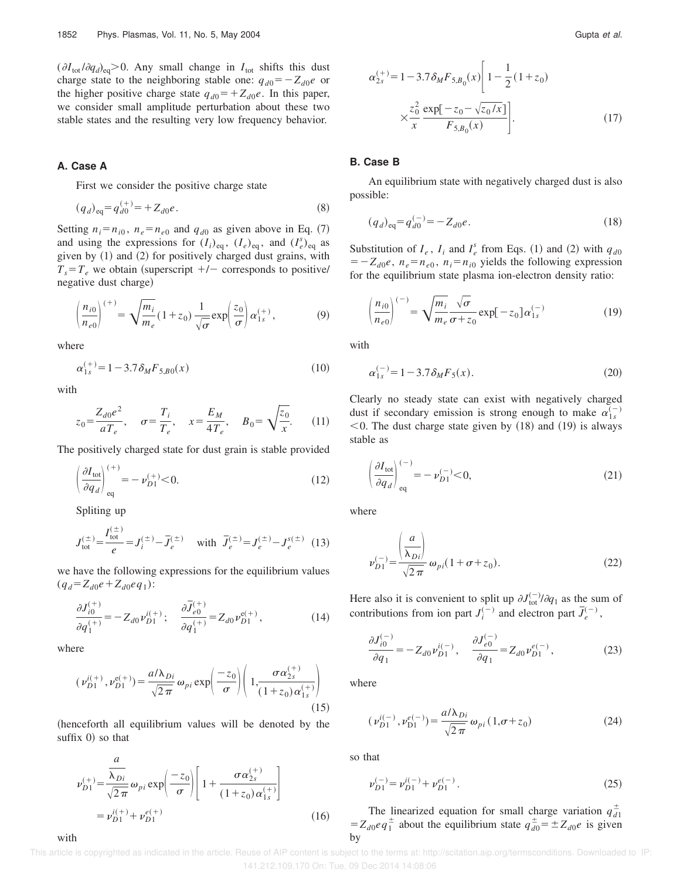$(\partial I_{\text{tot}}/\partial q_d)_{\text{eq}} > 0$ . Any small change in  $I_{\text{tot}}$  shifts this dust charge state to the neighboring stable one:  $q_{d0} = -Z_{d0}e$  or the higher positive charge state  $q_{d0} = +Z_{d0}e$ . In this paper, we consider small amplitude perturbation about these two stable states and the resulting very low frequency behavior.

#### **A. Case A**

First we consider the positive charge state

$$
(q_d)_{\text{eq}} = q_{d0}^{(+)} = +Z_{d0}e. \tag{8}
$$

Setting  $n_i = n_{i0}$ ,  $n_e = n_{e0}$  and  $q_{d0}$  as given above in Eq. (7) and using the expressions for  $(I_i)_{eq}$ ,  $(I_e)_{eq}$ , and  $(I_e^s)_{eq}$  as given by  $(1)$  and  $(2)$  for positively charged dust grains, with  $T_s = T_e$  we obtain (superscript  $+/-$  corresponds to positive/ negative dust charge)

$$
\left(\frac{n_{i0}}{n_{e0}}\right)^{(+)} = \sqrt{\frac{m_i}{m_e}} (1 + z_0) \frac{1}{\sqrt{\sigma}} \exp\left(\frac{z_0}{\sigma}\right) \alpha_{1s}^{(+)},\tag{9}
$$

where

$$
\alpha_{1s}^{(+)} = 1 - 3.7 \delta_M F_{5,B0}(x) \tag{10}
$$

with

$$
z_0 = \frac{Z_{d0}e^2}{aT_e}, \quad \sigma = \frac{T_i}{T_e}, \quad x = \frac{E_M}{4T_e}, \quad B_0 = \sqrt{\frac{z_0}{x}}.
$$
 (11)

The positively charged state for dust grain is stable provided

$$
\left(\frac{\partial I_{\text{tot}}}{\partial q_d}\right)_{\text{eq}}^{(+)} = -\nu_{D1}^{(+)}<0.
$$
\n(12)

Spliting up

$$
J_{\text{tot}}^{(\pm)} = \frac{I_{\text{tot}}^{(\pm)}}{e} = J_i^{(\pm)} - \bar{J}_e^{(\pm)} \quad \text{with} \quad \bar{J}_e^{(\pm)} = J_e^{(\pm)} - J_e^{s(\pm)} \quad (13)
$$

we have the following expressions for the equilibrium values  $(q_d = Z_{d0}e + Z_{d0}eq_1)$ :

$$
\frac{\partial J_{i0}^{(+)}}{\partial q_1^{(+)}} = -Z_{d0} \nu_{D1}^{i(+)}; \quad \frac{\partial \bar{J}_{e0}^{(+)}}{\partial q_1^{(+)}} = Z_{d0} \nu_{D1}^{e(+)}, \tag{14}
$$

where

with

$$
(\nu_{D1}^{i(+)}, \nu_{D1}^{e(+)}) = \frac{a/\lambda_{Di}}{\sqrt{2\pi}} \omega_{pi} \exp\left(\frac{-z_0}{\sigma}\right) \left(1, \frac{\sigma \alpha_{2s}^{(+)}}{(1+z_0) \alpha_{1s}^{(+)}}\right)
$$
(15)

(henceforth all equilibrium values will be denoted by the suffix  $0$  so that

$$
\nu_{D1}^{(+)} = \frac{\overline{\lambda_{Di}}}{\sqrt{2\pi}} \omega_{pi} \exp\left(\frac{-z_0}{\sigma}\right) \left[1 + \frac{\sigma \alpha_{2s}^{(+)}}{(1 + z_0) \alpha_{1s}^{(+)}}\right]
$$

$$
= \nu_{D1}^{i(+)} + \nu_{D1}^{e(+)} \tag{16}
$$

$$
\alpha_{2s}^{(+)} = 1 - 3.7 \delta_M F_{5,B_0}(x) \left[ 1 - \frac{1}{2} (1 + z_0) \times \frac{z_0^2}{x} \frac{\exp[-z_0 - \sqrt{z_0/x}]}{F_{5,B_0}(x)} \right].
$$
\n(17)

#### **B. Case B**

An equilibrium state with negatively charged dust is also possible:

$$
(q_d)_{\text{eq}} = q_{d0}^{(-)} = -Z_{d0}e. \tag{18}
$$

Substitution of  $I_e$ ,  $I_i$  and  $I_e^s$  from Eqs. (1) and (2) with  $q_{d0}$  $= -Z_{d0}e$ ,  $n_e = n_{e0}$ ,  $n_i = n_{i0}$  yields the following expression for the equilibrium state plasma ion-electron density ratio:

$$
\left(\frac{n_{i0}}{n_{e0}}\right)^{(-)} = \sqrt{\frac{m_i}{m_e}} \frac{\sqrt{\sigma}}{\sigma + z_0} \exp[-z_0] \alpha_{1s}^{(-)}
$$
(19)

with

$$
\alpha_{1s}^{(-)} = 1 - 3.7 \delta_M F_5(x). \tag{20}
$$

Clearly no steady state can exist with negatively charged dust if secondary emission is strong enough to make  $\alpha_{1s}^{(-)}$  $<$  0. The dust charge state given by (18) and (19) is always stable as

$$
\left(\frac{\partial I_{\text{tot}}}{\partial q_d}\right)_{\text{eq}}^{(-)} = -\nu_{D1}^{(-)} < 0,\tag{21}
$$

where

$$
\nu_{D1}^{(-)} = \frac{\left(\frac{a}{\lambda_{Di}}\right)}{\sqrt{2\pi}} \omega_{pi} (1 + \sigma + z_0).
$$
 (22)

Here also it is convenient to split up  $\partial J_{\text{tot}}^{(-)} / \partial q_1$  as the sum of contributions from ion part  $J_i^{(-)}$  and electron part  $\overline{J}_e^{(-)}$ ,

$$
\frac{\partial J_{i0}^{(-)}}{\partial q_1} = -Z_{d0} \nu_{D1}^{i(-)}, \quad \frac{\partial J_{e0}^{(-)}}{\partial q_1} = Z_{d0} \nu_{D1}^{e(-)}, \tag{23}
$$

where

$$
(\nu_{D1}^{i(-)}, \nu_{D1}^{e(-)}) = \frac{a/\lambda_{Di}}{\sqrt{2\pi}} \omega_{pi}(1, \sigma + z_0)
$$
 (24)

so that

$$
\nu_{D1}^{(-)} = \nu_{D1}^{i(-)} + \nu_{D1}^{e(-)}.
$$
\n(25)

The linearized equation for small charge variation  $q_{d1}^{\pm}$  $= Z_{d0}eq_1^{\pm}$  about the equilibrium state  $q_{d0}^{\pm} = \pm Z_{d0}e$  is given by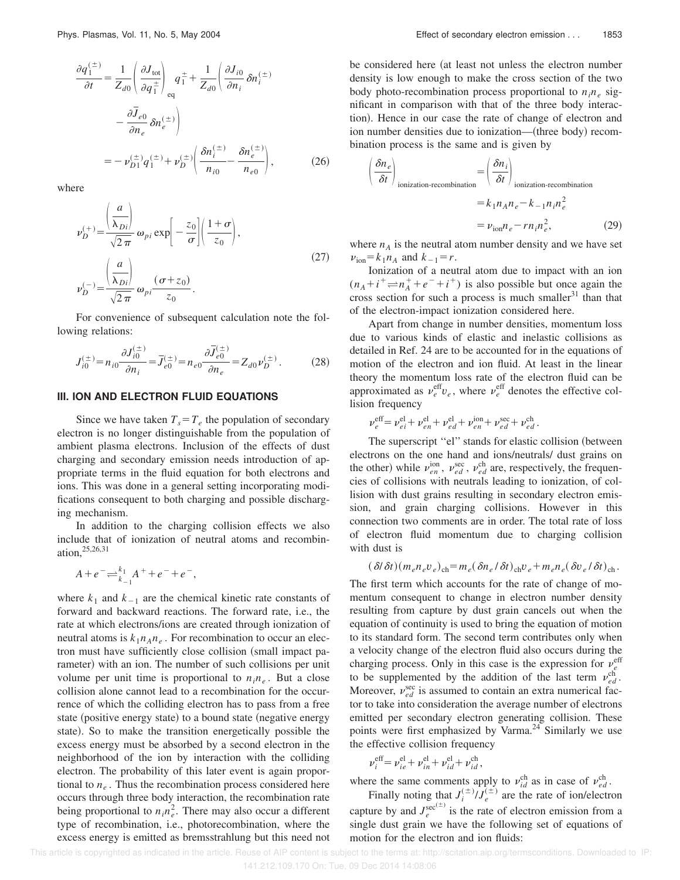$$
\frac{\partial q_1^{(\pm)}}{\partial t} = \frac{1}{Z_{d0}} \left( \frac{\partial J_{\text{tot}}}{\partial q_1^{\pm}} \right)_{\text{eq}} q_1^{\pm} + \frac{1}{Z_{d0}} \left( \frac{\partial J_{i0}}{\partial n_i} \delta n_i^{(\pm)} \right)
$$

$$
- \frac{\partial \overline{J}_{e0}}{\partial n_e} \delta n_e^{(\pm)} \right)
$$

$$
= -\nu_{D1}^{(\pm)} q_1^{(\pm)} + \nu_D^{(\pm)} \left( \frac{\delta n_i^{(\pm)}}{n_{i0}} - \frac{\delta n_e^{(\pm)}}{n_{e0}} \right), \tag{26}
$$

where

$$
\nu_D^{(+)} = \frac{\left(\frac{a}{\lambda_{Di}}\right)}{\sqrt{2\pi}} \omega_{pi} \exp\left[-\frac{z_0}{\sigma}\right] \left(\frac{1+\sigma}{z_0}\right),
$$
  

$$
\nu_D^{(-)} = \frac{\left(\frac{a}{\lambda_{Di}}\right)}{\sqrt{2\pi}} \omega_{pi} \frac{(\sigma + z_0)}{z_0}.
$$
 (27)

For convenience of subsequent calculation note the following relations:

$$
J_{i0}^{(\pm)} = n_{i0} \frac{\partial J_{i0}^{(\pm)}}{\partial n_i} = \overline{J}_{e0}^{(\pm)} = n_{e0} \frac{\partial \overline{J}_{e0}^{(\pm)}}{\partial n_e} = Z_{d0} \nu_D^{(\pm)}.
$$
 (28)

### **III. ION AND ELECTRON FLUID EQUATIONS**

Since we have taken  $T_s = T_e$  the population of secondary electron is no longer distinguishable from the population of ambient plasma electrons. Inclusion of the effects of dust charging and secondary emission needs introduction of appropriate terms in the fluid equation for both electrons and ions. This was done in a general setting incorporating modifications consequent to both charging and possible discharging mechanism.

In addition to the charging collision effects we also include that of ionization of neutral atoms and recombination,25,26,31

$$
A + e^- \rightleftharpoons \frac{k_1}{k_{-1}} A^+ + e^- + e^-,
$$

where  $k_1$  and  $k_{-1}$  are the chemical kinetic rate constants of forward and backward reactions. The forward rate, i.e., the rate at which electrons/ions are created through ionization of neutral atoms is  $k_1 n_A n_e$ . For recombination to occur an electron must have sufficiently close collision (small impact parameter) with an ion. The number of such collisions per unit volume per unit time is proportional to  $n_i n_e$ . But a close collision alone cannot lead to a recombination for the occurrence of which the colliding electron has to pass from a free state (positive energy state) to a bound state (negative energy state). So to make the transition energetically possible the excess energy must be absorbed by a second electron in the neighborhood of the ion by interaction with the colliding electron. The probability of this later event is again proportional to  $n_e$ . Thus the recombination process considered here occurs through three body interaction, the recombination rate being proportional to  $n_i n_e^2$ . There may also occur a different type of recombination, i.e., photorecombination, where the excess energy is emitted as bremsstrahlung but this need not be considered here (at least not unless the electron number density is low enough to make the cross section of the two body photo-recombination process proportional to  $n_i n_e$  significant in comparison with that of the three body interaction). Hence in our case the rate of change of electron and ion number densities due to ionization— (three body) recombination process is the same and is given by

$$
\left(\frac{\delta n_e}{\delta t}\right)_{\text{ionization-recombination}} = \left(\frac{\delta n_i}{\delta t}\right)_{\text{ionization-recombination}}
$$

$$
= k_1 n_A n_e - k_{-1} n_i n_e^2
$$

$$
= \nu_{\text{ion}} n_e - r n_i n_e^2,
$$
(29)

where  $n_A$  is the neutral atom number density and we have set  $v_{\text{ion}} = k_1 n_A$  and  $k_{-1} = r$ .

Ionization of a neutral atom due to impact with an ion  $(n_A + i^+ \rightleftharpoons n_A^+ + e^- + i^+)$  is also possible but once again the cross section for such a process is much smaller $31$  than that of the electron-impact ionization considered here.

Apart from change in number densities, momentum loss due to various kinds of elastic and inelastic collisions as detailed in Ref. 24 are to be accounted for in the equations of motion of the electron and ion fluid. At least in the linear theory the momentum loss rate of the electron fluid can be approximated as  $v_e^{\text{eff}} v_e$ , where  $v_e^{\text{eff}}$  denotes the effective collision frequency

$$
\nu_e^{\text{eff}} = \nu_{ei}^{\text{el}} + \nu_{en}^{\text{el}} + \nu_{ed}^{\text{el}} + \nu_{en}^{\text{ion}} + \nu_{ed}^{\text{sec}} + \nu_{ed}^{\text{ch}}.
$$

The superscript "el" stands for elastic collision (between electrons on the one hand and ions/neutrals/ dust grains on the other) while  $v_{en}^{\text{ion}}$ ,  $v_{ed}^{\text{sec}}$ ,  $v_{ed}^{\text{ch}}$  are, respectively, the frequencies of collisions with neutrals leading to ionization, of collision with dust grains resulting in secondary electron emission, and grain charging collisions. However in this connection two comments are in order. The total rate of loss of electron fluid momentum due to charging collision with dust is

$$
(\delta\theta\,\delta t)(m_e n_e v_e)_{\rm ch} = m_e (\delta n_e/\delta t)_{\rm ch} v_e + m_e n_e (\delta v_e/\delta t)_{\rm ch}.
$$

The first term which accounts for the rate of change of momentum consequent to change in electron number density resulting from capture by dust grain cancels out when the equation of continuity is used to bring the equation of motion to its standard form. The second term contributes only when a velocity change of the electron fluid also occurs during the charging process. Only in this case is the expression for  $\nu_e^{\text{eff}}$ to be supplemented by the addition of the last term  $v_{ed}^{\text{ch}}$ . Moreover,  $v_{ed}^{\text{sec}}$  is assumed to contain an extra numerical factor to take into consideration the average number of electrons emitted per secondary electron generating collision. These points were first emphasized by Varma.<sup>24</sup> Similarly we use the effective collision frequency

$$
v_i^{\text{eff}} = v_{ie}^{\text{el}} + v_{in}^{\text{el}} + v_{id}^{\text{el}} + v_{id}^{\text{ch}},
$$

where the same comments apply to  $v_{id}^{\text{ch}}$  as in case of  $v_{ed}^{\text{ch}}$ .

Finally noting that  $J_i^{(\pm)}/J_e^{(\pm)}$  are the rate of ion/electron capture by and  $J_e^{\text{sec}^{( \pm)}}$  is the rate of electron emission from a single dust grain we have the following set of equations of motion for the electron and ion fluids: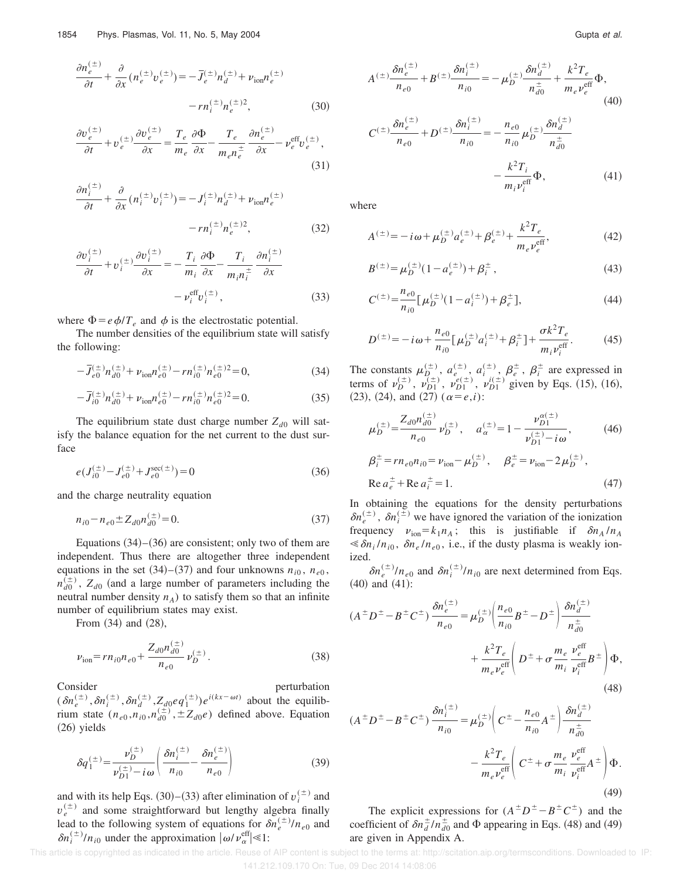$$
\frac{\partial n_e^{(\pm)}}{\partial t} + \frac{\partial}{\partial x} \left( n_e^{(\pm)} v_e^{(\pm)} \right) = -\overline{J}_e^{(\pm)} n_d^{(\pm)} + \nu_{\text{ion}} n_e^{(\pm)}
$$

$$
- r n_i^{(\pm)} n_e^{(\pm)}{}^2,\tag{30}
$$

$$
\frac{\partial v_e^{(\pm)}}{\partial t} + v_e^{(\pm)} \frac{\partial v_e^{(\pm)}}{\partial x} = \frac{T_e}{m_e} \frac{\partial \Phi}{\partial x} - \frac{T_e}{m_e n_e^{\pm}} \frac{\partial n_e^{(\pm)}}{\partial x} - v_e^{\text{eff}} v_e^{(\pm)},\tag{31}
$$

$$
\frac{\partial n_i^{(\pm)}}{\partial t} + \frac{\partial}{\partial x} \left( n_i^{(\pm)} v_i^{(\pm)} \right) = -J_i^{(\pm)} n_d^{(\pm)} + \nu_{\text{ion}} n_e^{(\pm)}
$$

$$
- r n_i^{(\pm)} n_e^{(\pm)2}, \tag{32}
$$

$$
\frac{\partial v_i^{(\pm)}}{\partial t} + v_i^{(\pm)} \frac{\partial v_i^{(\pm)}}{\partial x} = -\frac{T_i}{m_i} \frac{\partial \Phi}{\partial x} - \frac{T_i}{m_i n_i^{\pm}} \frac{\partial n_i^{(\pm)}}{\partial x} \n- v_i^{\text{eff}} v_i^{(\pm)},
$$
\n(33)

where 
$$
\Phi = e \phi / T_e
$$
 and  $\phi$  is the electrostatic potential.

The number densities of the equilibrium state will satisfy the following:

$$
-\overline{J}_{e0}^{(\pm)}n_{d0}^{(\pm)} + \nu_{\text{ion}}n_{e0}^{(\pm)} - rn_{i0}^{(\pm)}n_{e0}^{(\pm)2} = 0,\tag{34}
$$

$$
-\overline{J}_{i0}^{(\pm)}n_{d0}^{(\pm)} + \nu_{\text{ion}}n_{e0}^{(\pm)} - rn_{i0}^{(\pm)}n_{e0}^{(\pm)2} = 0.
$$
 (35)

The equilibrium state dust charge number  $Z_{d0}$  will satisfy the balance equation for the net current to the dust surface

$$
e(J_{i0}^{(\pm)} - J_{e0}^{(\pm)} + J_{e0}^{\sec(\pm)}) = 0
$$
\n(36)

and the charge neutrality equation

$$
n_{i0} - n_{e0} \pm Z_{d0} n_{d0}^{(\pm)} = 0. \tag{37}
$$

Equations  $(34)$ – $(36)$  are consistent; only two of them are independent. Thus there are altogether three independent equations in the set  $(34)$ – $(37)$  and four unknowns  $n_{i0}$ ,  $n_{e0}$ ,  $n_{d0}^{(\pm)}$ ,  $Z_{d0}$  (and a large number of parameters including the neutral number density  $n_A$ ) to satisfy them so that an infinite number of equilibrium states may exist.

From  $(34)$  and  $(28)$ ,

$$
\nu_{\text{ion}} = r n_{i0} n_{e0} + \frac{Z_{d0} n_{d0}^{(\pm)}}{n_{e0}} \nu_D^{(\pm)}.
$$
 (38)

Consider **perturbation**  $(\delta n_e^{(\pm)}, \delta n_i^{(\pm)}, \delta n_d^{(\pm)}, Z_{d0} e q_1^{(\pm)}) e^{i(kx - \omega t)}$  about the equilibrium state  $(n_{e0}, n_{i0}, n_{d0}^{(\pm)}, \pm Z_{d0}^{(\pm)})$  defined above. Equation  $(26)$  yields

$$
\delta q_{1}^{(\pm)} = \frac{\nu_{D}^{(\pm)}}{\nu_{D1}^{(\pm)} - i\omega} \left( \frac{\delta n_{i}^{(\pm)}}{n_{i0}} - \frac{\delta n_{e}^{(\pm)}}{n_{e0}} \right)
$$
(39)

and with its help Eqs. (30)–(33) after elimination of  $v_i^{(\pm)}$  and  $v_e^{(\pm)}$  and some straightforward but lengthy algebra finally lead to the following system of equations for  $\delta n_e^{(\pm)} / n_{e0}$  and  $\delta n_i^{(\pm)} / n_{i0}$  under the approximation  $|\omega / v_{\alpha}^{\text{eff}}| \ll 1$ :

$$
A^{(\pm)} \frac{\delta n_e^{(\pm)}}{n_{e0}} + B^{(\pm)} \frac{\delta n_i^{(\pm)}}{n_{i0}} = -\mu_D^{(\pm)} \frac{\delta n_d^{(\pm)}}{n_{d0}^{\pm}} + \frac{k^2 T_e}{m_e v_e^{\text{eff}}} \Phi,
$$
\n
$$
S_n^{(\pm)} \qquad S_n^{(\pm)} \qquad n_{e0} \qquad S_n^{(\pm)} \qquad (40)
$$

$$
C^{(\pm)} \frac{\delta n_e^{(\pm)}}{n_{e0}} + D^{(\pm)} \frac{\delta n_i^{(\pm)}}{n_{i0}} = -\frac{n_{e0}}{n_{i0}} \mu_D^{(\pm)} \frac{\delta n_d^{(\pm)}}{n_{d0}^{\pm}} -\frac{k^2 T_i}{m_i v_i^{\text{eff}}} \Phi,
$$
(41)

where

$$
A^{(\pm)} = -i\omega + \mu_D^{(\pm)} a_e^{(\pm)} + \beta_e^{(\pm)} + \frac{k^2 T_e}{m_e v_{e}^{\text{eff}}},\tag{42}
$$

$$
B^{(\pm)} = \mu_D^{(\pm)} (1 - a_e^{(\pm)}) + \beta_i^{\pm} , \qquad (43)
$$

$$
C^{(\pm)} = \frac{n_{e0}}{n_{i0}} \left[ \mu_D^{(\pm)} (1 - a_i^{(\pm)}) + \beta_e^{\pm} \right],\tag{44}
$$

$$
D^{(\pm)} = -i\omega + \frac{n_{e0}}{n_{i0}} \left[ \mu_D^{(\pm)} a_i^{(\pm)} + \beta_i^{\pm} \right] + \frac{\sigma k^2 T_e}{m_i \nu_i^{\text{eff}}}.
$$
 (45)

The constants  $\mu_D^{(\pm)}$ ,  $a_e^{(\pm)}$ ,  $a_i^{(\pm)}$ ,  $\beta_e^{\pm}$ ,  $\beta_i^{\pm}$  are expressed in terms of  $\nu_D^{(\pm)}$ ,  $\nu_{D1}^{(\pm)}$ ,  $\nu_{D1}^{e(\pm)}$ ,  $\nu_{D1}^{i(\pm)}$  given by Eqs. (15), (16),  $(23), (24),$  and  $(27)$   $(\alpha = e, i)$ :

$$
\mu_D^{(\pm)} = \frac{Z_{d0}n_{d0}^{(\pm)}}{n_{e0}} \nu_D^{(\pm)}, \quad a_{\alpha}^{(\pm)} = 1 - \frac{\nu_{D1}^{\alpha(\pm)}}{\nu_{D1}^{(\pm)} - i\omega},
$$
\n
$$
\beta_i^{\pm} = r n_{e0} n_{i0} = \nu_{\text{ion}} - \mu_D^{(\pm)}, \quad \beta_e^{\pm} = \nu_{\text{ion}} - 2\mu_D^{(\pm)},
$$
\n
$$
\text{Re } a_e^{\pm} + \text{Re } a_i^{\pm} = 1.
$$
\n(47)

In obtaining the equations for the density perturbations  $\delta n_e^{(\pm)}$ ,  $\delta n_i^{(\pm)}$  we have ignored the variation of the ionization frequency  $\nu_{\text{ion}} = k_1 n_A$ ; this is justifiable if  $\delta n_A / n_A$  $\leq \delta n_i / n_{i0}$ ,  $\delta n_e / n_{e0}$ , i.e., if the dusty plasma is weakly ionized.

 $\delta n_e^{(\pm)} / n_{e0}$  and  $\delta n_i^{(\pm)} / n_{i0}$  are next determined from Eqs.  $(40)$  and  $(41)$ :

$$
(A^{\pm}D^{\pm} - B^{\pm}C^{\pm}) \frac{\delta n_e^{(\pm)}}{n_{e0}} = \mu_D^{(\pm)} \left( \frac{n_{e0}}{n_{i0}} B^{\pm} - D^{\pm} \right) \frac{\delta n_d^{(\pm)}}{n_{d0}^{\pm}} + \frac{k^2 T_e}{m_e v_e^{\text{eff}}} \left( D^{\pm} + \sigma \frac{m_e}{m_i} \frac{v_e^{\text{eff}}}{v_i^{\text{eff}}} B^{\pm} \right) \Phi,
$$
\n(48)

$$
(A^{\pm}D^{\pm} - B^{\pm}C^{\pm})\frac{\delta n_i^{(\pm)}}{n_{i0}} = \mu_D^{(\pm)} \left(C^{\pm} - \frac{n_{e0}}{n_{i0}}A^{\pm}\right)\frac{\delta n_d^{(\pm)}}{n_{d0}^{\pm}} - \frac{k^2 T_e}{m_e v_e^{\text{eff}}} \left(C^{\pm} + \sigma \frac{m_e}{m_i} \frac{v_e^{\text{eff}}}{v_i^{\text{eff}}}A^{\pm}\right)\Phi.
$$
\n(49)

The explicit expressions for  $(A^{\pm}D^{\pm} - B^{\pm}C^{\pm})$  and the coefficient of  $\delta n_d^{\pm}/n_{d0}^{\pm}$  and  $\Phi$  appearing in Eqs. (48) and (49) are given in Appendix A.

This article is copyrighted as indicated in the article. Reuse of AIP content is subject to the terms at: http://scitation.aip.org/termsconditions. Downloaded to IP: 141.212.109.170 On: Tue, 09 Dec 2014 14:08:06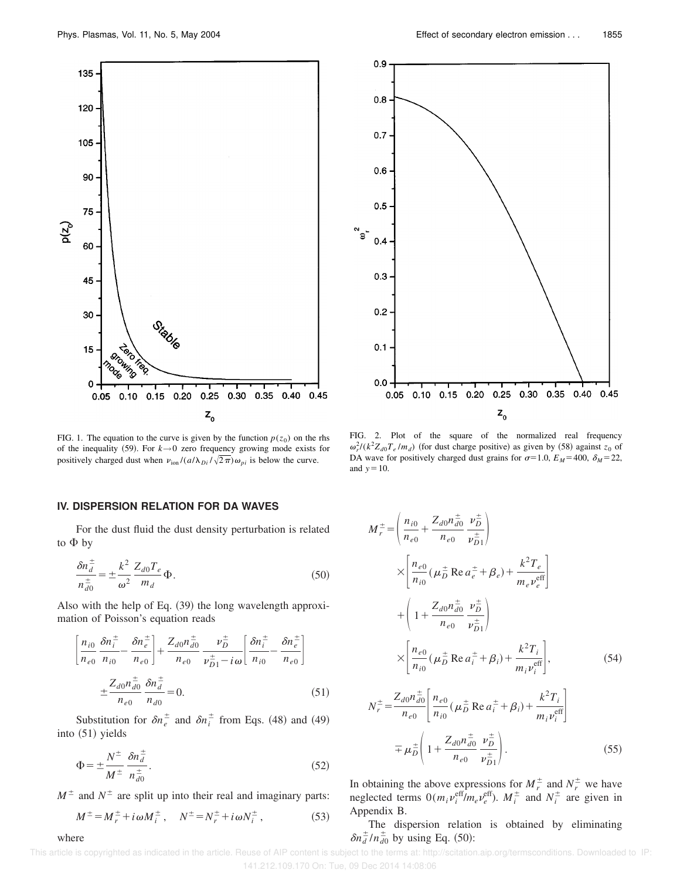

FIG. 1. The equation to the curve is given by the function  $p(z_0)$  on the rhs of the inequality (59). For  $k \rightarrow 0$  zero frequency growing mode exists for positively charged dust when  $\nu_{\text{ion}}/(a/\lambda_{Di}/\sqrt{2\pi})\omega_{pi}$  is below the curve.

#### **IV. DISPERSION RELATION FOR DA WAVES**

For the dust fluid the dust density perturbation is related to  $\Phi$  by

$$
\frac{\delta n_d^{\pm}}{n_{d0}^{\pm}} = \pm \frac{k^2}{\omega^2} \frac{Z_{d0} T_e}{m_d} \Phi.
$$
\n(50)

Also with the help of Eq.  $(39)$  the long wavelength approximation of Poisson's equation reads

$$
\left[\frac{n_{i0}}{n_{e0}}\frac{\delta n_{i}^{\pm}}{n_{i0}} - \frac{\delta n_{e}^{\pm}}{n_{e0}}\right] + \frac{Z_{d0}n_{d0}^{\pm}}{n_{e0}}\frac{\nu_{D}^{\pm}}{\nu_{D1}^{\pm} - i\omega} \left[\frac{\delta n_{i}^{\pm}}{n_{i0}} - \frac{\delta n_{e}^{\pm}}{n_{e0}}\right]
$$

$$
\pm \frac{Z_{d0}n_{d0}^{\pm}}{n_{e0}}\frac{\delta n_{d}^{\pm}}{n_{d0}} = 0.
$$
(51)

Substitution for  $\delta n_e^{\pm}$  and  $\delta n_i^{\pm}$  from Eqs. (48) and (49) into  $(51)$  yields

$$
\Phi = \pm \frac{N^{\pm}}{M^{\pm}} \frac{\delta n_d^{\pm}}{n_{d0}^{\pm}}.
$$
\n(52)

 $M^{\pm}$  and  $N^{\pm}$  are split up into their real and imaginary parts:

where

$$
M^{\pm} = M_r^{\pm} + i\omega M_i^{\pm} , \quad N^{\pm} = N_r^{\pm} + i\omega N_i^{\pm} , \tag{53}
$$



FIG. 2. Plot of the square of the normalized real frequency  $\omega_r^2 / (k^2 Z_{d0} T_e / m_d)$  (for dust charge positive) as given by (58) against  $z_0$  of DA wave for positively charged dust grains for  $\sigma$ =1.0,  $E_M$ =400,  $\delta_M$ =22, and  $y=10$ .

$$
M_{r}^{\pm} = \left(\frac{n_{i0}}{n_{e0}} + \frac{Z_{d0}n_{d0}^{\pm}}{n_{e0}} \frac{\nu_{D}^{\pm}}{\nu_{D1}^{\pm}}\right)
$$
  

$$
\times \left[\frac{n_{e0}}{n_{i0}} (\mu_{D}^{\pm} \text{ Re } a_{e}^{\pm} + \beta_{e}) + \frac{k^{2}T_{e}}{m_{e}\nu_{e}^{\text{eff}}}\right]
$$
  

$$
+ \left(1 + \frac{Z_{d0}n_{d0}^{\pm}}{n_{e0}} \frac{\nu_{D}^{\pm}}{\nu_{D1}^{\pm}}\right)
$$
  

$$
\times \left[\frac{n_{e0}}{n_{i0}} (\mu_{D}^{\pm} \text{ Re } a_{i}^{\pm} + \beta_{i}) + \frac{k^{2}T_{i}}{m_{i}\nu_{i}^{\text{eff}}}\right],
$$
 (54)

$$
N_r^{\pm} = \frac{Z_{d0}n_{d0}^{\pm}}{n_{e0}} \left[ \frac{n_{e0}}{n_{i0}} (\mu_D^{\pm} \text{ Re } a_i^{\pm} + \beta_i) + \frac{k^2 T_i}{m_i v_i^{\text{eff}}} \right]
$$
  

$$
\mp \mu_D^{\pm} \left( 1 + \frac{Z_{d0}n_{d0}^{\pm}}{n_{e0}} \frac{v_D^{\pm}}{v_{D1}^{\pm}} \right). \tag{55}
$$

In obtaining the above expressions for  $M_r^{\pm}$  and  $N_r^{\pm}$  we have neglected terms  $0(m_i v_i^{\text{eff}}/m_e v_e^{\text{eff}})$ .  $M_i^{\pm}$  and  $N_i^{\pm}$  are given in Appendix B.

The dispersion relation is obtained by eliminating  $\delta n_d^{\pm}/n_{d0}^{\pm}$  by using Eq. (50):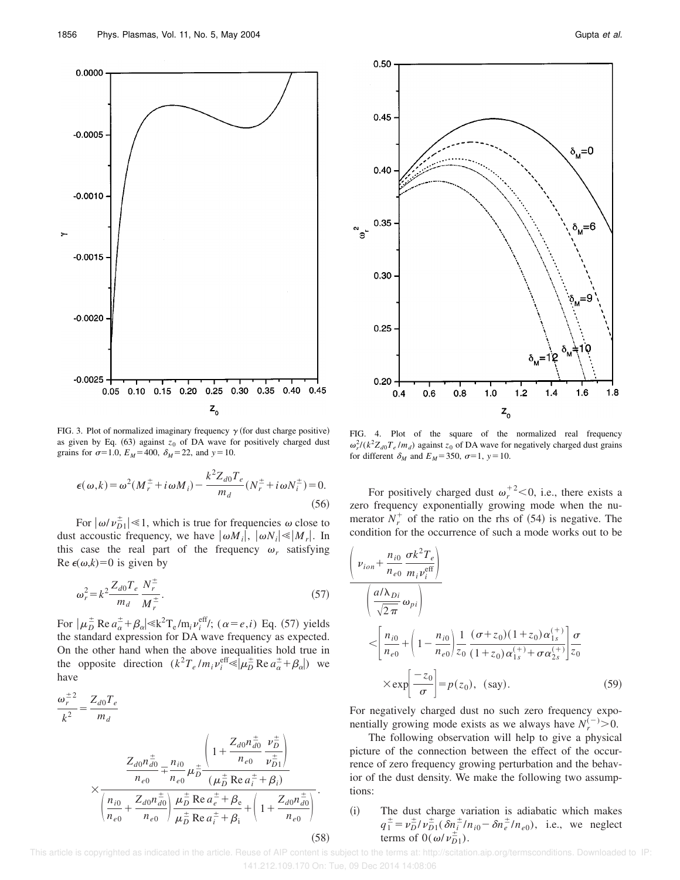



FIG. 3. Plot of normalized imaginary frequency  $\gamma$  (for dust charge positive) as given by Eq.  $(63)$  against  $z_0$  of DA wave for positively charged dust grains for  $\sigma$ =1.0,  $E_M$ =400,  $\delta_M$ =22, and  $y$ =10.

$$
\epsilon(\omega, k) = \omega^2 (M_r^{\pm} + i\omega M_i) - \frac{k^2 Z_{d0} T_e}{m_d} (N_r^{\pm} + i\omega N_i^{\pm}) = 0.
$$
\n(56)

For  $|\omega/\nu_{D1}^{\pm}| \ll 1$ , which is true for frequencies  $\omega$  close to dust accoustic frequency, we have  $|\omega M_i|$ ,  $|\omega N_i| \ll |M_r|$ . In this case the real part of the frequency  $\omega_r$  satisfying Re  $\epsilon(\omega, k) = 0$  is given by

$$
\omega_r^2 = k^2 \frac{Z_{d0} T_e}{m_d} \frac{N_r^{\pm}}{M_r^{\pm}}.
$$
 (57)

For  $|\mu_D^{\pm} \text{Re } a_{\alpha}^{\pm} + \beta_{\alpha}| \leq k^2 \text{T}_e / \text{m}_i v_i^{\text{eff}}/; (\alpha = e, i)$  Eq. (57) yields the standard expression for DA wave frequency as expected. On the other hand when the above inequalities hold true in the opposite direction  $(k^2 T_e / m_i v_i^{\text{eff}} \leq \mu_D^{\pm} \text{Re} a_{\alpha}^{\pm} + \beta_{\alpha}$ ) we have

$$
\frac{\omega_r^{\pm 2}}{k^2} = \frac{Z_{d0}T_e}{m_d}
$$
\n
$$
\times \frac{Z_{d0}n_{d0}^{\pm}}{n_{e0}} = \frac{n_{i0}}{n_{e0}} \mu_D^{\pm} \frac{\left(1 + \frac{Z_{d0}n_{d0}^{\pm}}{n_{e0}} \frac{\nu_D^{\pm}}{\nu_{D1}^{\pm}}\right)}{\left(\mu_D^{\pm} \text{Re } a_i^{\pm} + \beta_i\right)}
$$
\n
$$
\times \frac{n_{i0}}{\left(n_{e0}^{\pm} + \frac{Z_{d0}n_{d0}^{\pm}}{n_{e0}}\right) \frac{\mu_D^{\pm} \text{Re } a_e^{\pm} + \beta_e}{\mu_D^{\pm} \text{Re } a_i^{\pm} + \beta_i} + \left(1 + \frac{Z_{d0}n_{d0}^{\pm}}{n_{e0}}\right)}.
$$
\n(58)



FIG. 4. Plot of the square of the normalized real frequency  $\omega_r^2/(k^2 Z_{d0} T_e / m_d)$  against  $z_0$  of DA wave for negatively charged dust grains for different  $\delta_M$  and  $E_M$ =350,  $\sigma$ =1,  $y$ =10.

For positively charged dust  $\omega_r^{+2}$  < 0, i.e., there exists a zero frequency exponentially growing mode when the numerator  $N_r^+$  of the ratio on the rhs of (54) is negative. The condition for the occurrence of such a mode works out to be

$$
\begin{aligned}\n\left(\nu_{ion} + \frac{n_{i0}}{n_{e0}} \frac{\sigma k^2 T_e}{m_i \nu_i^{\text{eff}}}\right) \\
\left(\frac{a/\lambda_{Di}}{\sqrt{2\pi}} \omega_{pi}\right) \\
&\leq \left[\frac{n_{i0}}{n_{e0}} + \left(1 - \frac{n_{i0}}{n_{e0}}\right) \frac{1}{z_0} \frac{(\sigma + z_0)(1 + z_0)\alpha_{1s}^{(+)}}{(1 + z_0)\alpha_{1s}^{(+)} + \sigma \alpha_{2s}^{(+)}} \frac{\sigma}{z_0} \\
&\times \exp\left[\frac{-z_0}{\sigma}\right] = p(z_0), \text{ (say)}.\n\end{aligned}
$$
\n(59)

For negatively charged dust no such zero frequency exponentially growing mode exists as we always have  $N_r^{(-)} > 0$ .

The following observation will help to give a physical picture of the connection between the effect of the occurrence of zero frequency growing perturbation and the behavior of the dust density. We make the following two assumptions:

(i) The dust charge variation is adiabatic which makes  $q_1^{\pm} = \nu_D^{\pm}/\nu_{D1}^{\pm}(\delta n_i^{\pm}/n_{i0} - \delta n_e^{\pm}/n_{e0}),$  i.e., we neglect terms of  $0(\omega/\nu_{D1}^{\pm})$ .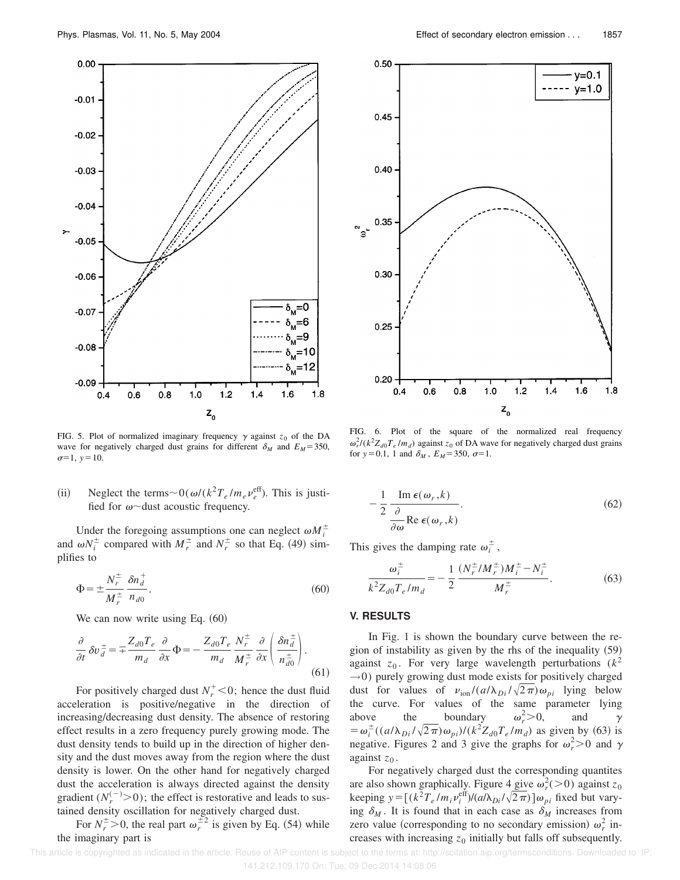

FIG. 5. Plot of normalized imaginary frequency  $\gamma$  against  $z_0$  of the DA wave for negatively charged dust grains for different  $\delta_M$  and  $E_M$ =350,  $\sigma=1, y=10.$ 

(ii) Neglect the terms  $\sim 0(\omega/(k^2 T_e/m_e v_e^{\text{eff}}))$ . This is justified for  $\omega$ ~dust acoustic frequency.

Under the foregoing assumptions one can neglect  $\omega M_i^{\pm}$ and  $\omega N_i^{\pm}$  compared with  $M_r^{\pm}$  and  $N_r^{\pm}$  so that Eq. (49) simplifies to

$$
\Phi = \pm \frac{N_r^{\pm}}{M_r^{\pm}} \frac{\delta n_d^{\pm}}{n_{d0}}.
$$
\n(60)

We can now write using Eq.  $(60)$ 

$$
\frac{\partial}{\partial t} \delta v \frac{d}{dt} = \pm \frac{Z_{d0} T_e}{m_d} \frac{\partial}{\partial x} \Phi = -\frac{Z_{d0} T_e}{m_d} \frac{N_r^{\pm}}{M_r^{\pm}} \frac{\partial}{\partial x} \left( \frac{\delta n_d^{\pm}}{n_{d0}^{\pm}} \right). \tag{61}
$$

For positively charged dust  $N_r^+$  < 0; hence the dust fluid acceleration is positive/negative in the direction of increasing/decreasing dust density. The absence of restoring effect results in a zero frequency purely growing mode. The dust density tends to build up in the direction of higher density and the dust moves away from the region where the dust density is lower. On the other hand for negatively charged dust the acceleration is always directed against the density gradient  $(N_r^{(-)} > 0)$ ; the effect is restorative and leads to sustained density oscillation for negatively charged dust.

For  $N_r^{\pm} > 0$ , the real part  $\omega_r^{\pm 2}$  is given by Eq. (54) while the imaginary part is



FIG. 6. Plot of the square of the normalized real frequency  $\omega_r^2/(k^2 Z_{d0} T_e / m_d)$  against  $z_0$  of DA wave for negatively charged dust grains for  $y=0.1$ , 1 and  $\delta_M$ ,  $E_M=350$ ,  $\sigma=1$ .

$$
-\frac{1}{2}\frac{\operatorname{Im}\epsilon(\omega_r,k)}{\frac{\partial}{\partial\omega}\operatorname{Re}\epsilon(\omega_r,k)}.
$$
\n(62)

This gives the damping rate  $\omega_i^{\pm}$ ,

$$
\frac{\omega_i^{\pm}}{k^2 Z_{d0} T_e / m_d} = -\frac{1}{2} \frac{(N_r^{\pm}/M_r^{\pm}) M_i^{\pm} - N_i^{\pm}}{M_r^{\pm}}.
$$
 (63)

#### **V. RESULTS**

In Fig. 1 is shown the boundary curve between the region of instability as given by the rhs of the inequality  $(59)$ against  $z_0$ . For very large wavelength perturbations ( $k^2$  $\rightarrow$ 0) purely growing dust mode exists for positively charged dust for values of  $v_{\text{ion}}/(a/\lambda_{Di}/\sqrt{2\pi})\omega_{pi}$  lying below the curve. For values of the same parameter lying above the boundary  $\omega_r^2 > 0$ , and  $\gamma$  $= \omega_i^{\pm}((a/\lambda_{Di}/\sqrt{2\pi})\omega_{pi})/(k^2 Z_{d0}T_e/m_d)$  as given by (63) is negative. Figures 2 and 3 give the graphs for  $\omega_r^2 > 0$  and  $\gamma$ against  $z_0$ .

For negatively charged dust the corresponding quantites are also shown graphically. Figure  $4 \text{ give } \omega_r^2$  (>0) against  $z_0$ keeping  $y = [(k^2 T_e/m_i v_i^{\text{eff}})/(a/\lambda_{Di}/\sqrt{2\pi})] \omega_{pi}$  fixed but varying  $\delta_M$ . It is found that in each case as  $\delta_M$  increases from zero value (corresponding to no secondary emission)  $\omega_r^2$  increases with increasing  $z_0$  initially but falls off subsequently.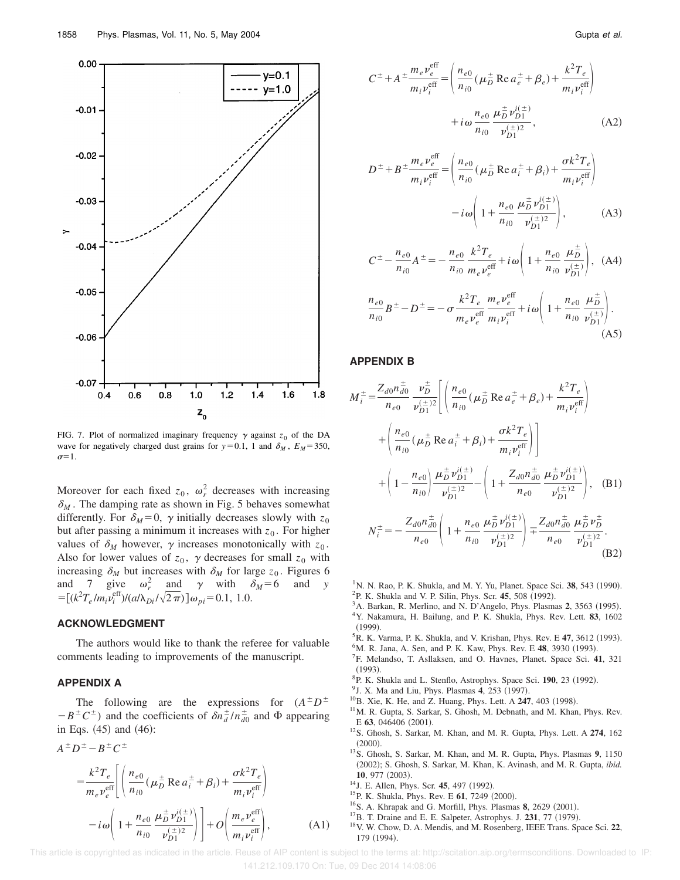

FIG. 7. Plot of normalized imaginary frequency  $\gamma$  against  $z_0$  of the DA wave for negatively charged dust grains for  $y=0.1$ , 1 and  $\delta_M$ ,  $E_M=350$ ,  $\sigma=1$ .

Moreover for each fixed  $z_0$ ,  $\omega_r^2$  decreases with increasing  $\delta_M$ . The damping rate as shown in Fig. 5 behaves somewhat differently. For  $\delta_M = 0$ ,  $\gamma$  initially decreases slowly with  $z_0$ but after passing a minimum it increases with  $z_0$ . For higher values of  $\delta_M$  however,  $\gamma$  increases monotonically with  $z_0$ . Also for lower values of  $z_0$ ,  $\gamma$  decreases for small  $z_0$  with increasing  $\delta_M$  but increases with  $\delta_M$  for large  $z_0$ . Figures 6 and 7 give  $\omega_r^2$  and  $\gamma$  with  $\delta_M = 6$  and *y*  $= [(k^2 T_e/m_i v_i^{\text{eff}})/(a/\lambda_{Di}/\sqrt{2\pi})] \omega_{pi} = 0.1, 1.0.$ 

#### **ACKNOWLEDGMENT**

The authors would like to thank the referee for valuable comments leading to improvements of the manuscript.

### **APPENDIX A**

The following are the expressions for  $(A^{\pm}D^{\pm})$  $-B^{\pm}C^{\pm}$ ) and the coefficients of  $\delta n_d^{\pm}/n_{d0}^{\pm}$  and  $\Phi$  appearing in Eqs.  $(45)$  and  $(46)$ :

$$
A^{\pm}D^{\pm} - B^{\pm}C^{\pm}
$$
  
\n
$$
= \frac{k^2 T_e}{m_e v_e^{\text{eff}}} \left[ \left( \frac{n_{e0}}{n_{i0}} (\mu_D^{\pm} \text{ Re } a_i^{\pm} + \beta_i) + \frac{\sigma k^2 T_e}{m_i v_i^{\text{eff}}} \right) - i\omega \left( 1 + \frac{n_{e0}}{n_{i0}} \frac{\mu_D^{\pm} v_D^{i(\pm)}}{v_{D1}^{i(\pm)}} \right) \right] + O\left( \frac{m_e v_e^{\text{eff}}}{m_i v_i^{\text{eff}}} \right), \tag{A1}
$$

$$
C^{\pm} + A^{\pm} \frac{m_e \nu_e^{\text{eff}}}{m_i \nu_i^{\text{eff}}} = \left( \frac{n_{e0}}{n_{i0}} (\mu_D^{\pm} \text{ Re } a_e^{\pm} + \beta_e) + \frac{k^2 T_e}{m_i \nu_i^{\text{eff}}} \right) + i \omega \frac{n_{e0}}{n_{i0}} \frac{\mu_D^{\pm} \nu_{D1}^{i(\pm)}}{\nu_{D1}^{(\pm)2}}, \tag{A2}
$$

$$
D^{\pm} + B^{\pm} \frac{m_e v_e^{\text{eff}}}{m_i v_i^{\text{eff}}} = \left( \frac{n_{e0}}{n_{i0}} (\mu_D^{\pm} \text{ Re } a_i^{\pm} + \beta_i) + \frac{\sigma k^2 T_e}{m_i v_i^{\text{eff}}} \right) - i \omega \left( 1 + \frac{n_{e0}}{n_{i0}} \frac{\mu_D^{\pm} v_{D1}^{i(\pm)}}{v_{D1}^{i(\pm)}} \right),
$$
 (A3)

$$
C^{\pm} - \frac{n_{e0}}{n_{i0}} A^{\pm} = -\frac{n_{e0}}{n_{i0}} \frac{k^2 T_e}{m_e v_e^{\text{eff}}} + i \omega \left( 1 + \frac{n_{e0}}{n_{i0}} \frac{\mu_D^{\pm}}{\nu_{D1}^{(\pm)}} \right), \text{ (A4)}
$$

$$
\frac{n_{e0}}{n_{i0}}B^{\pm} - D^{\pm} = -\sigma \frac{k^2 T_e}{m_e v_e^{\text{eff}}} \frac{m_e v_e^{\text{eff}}}{m_i v_i^{\text{eff}}} + i\omega \left(1 + \frac{n_{e0}}{n_{i0}} \frac{\mu_D^{\pm}}{\nu_{D1}^{(\pm)}}\right). \tag{A5}
$$

#### **APPENDIX B**

$$
M_{i}^{\pm} = \frac{Z_{d0}n_{d0}^{\pm}}{n_{e0}} \frac{\nu_{D}^{\pm}}{\nu_{D1}^{(\pm)2}} \left[ \left( \frac{n_{e0}}{n_{i0}} (\mu_{D}^{\pm} \text{ Re } a_{e}^{\pm} + \beta_{e}) + \frac{k^{2}T_{e}}{m_{i}\nu_{i}^{\text{eff}}} \right) \right. \\
\left. + \left( \frac{n_{e0}}{n_{i0}} (\mu_{D}^{\pm} \text{ Re } a_{i}^{\pm} + \beta_{i}) + \frac{\sigma k^{2}T_{e}}{m_{i}\nu_{i}^{\text{eff}}} \right) \right] \\
+ \left( 1 - \frac{n_{e0}}{n_{i0}} \right) \frac{\mu_{D}^{\pm} \nu_{D1}^{i(\pm)}}{\nu_{D1}^{(\pm)2}} - \left( 1 + \frac{Z_{d0}n_{d0}^{\pm}}{n_{e0}} \frac{\mu_{D}^{\pm} \nu_{D1}^{i(\pm)}}{\nu_{D1}^{(\pm)2}} \right), \quad \text{(B1)}
$$
\n
$$
N_{i}^{\pm} = -\frac{Z_{d0}n_{d0}^{\pm}}{n_{e0}} \left( 1 + \frac{n_{e0}}{n_{i0}} \frac{\mu_{D}^{\pm} \nu_{D1}^{i(\pm)}}{\nu_{D1}^{(\pm)2}} \right) + \frac{Z_{d0}n_{d0}^{\pm}}{n_{e0}} \frac{\mu_{D}^{\pm} \nu_{D}^{\pm}}{\nu_{D1}^{(\pm)2}}.
$$
\n(B2)

- <sup>1</sup>N. N. Rao, P. K. Shukla, and M. Y. Yu, Planet. Space Sci. **38**, 543 (1990). <sup>2</sup>P. K. Shukla and V. P. Silin, Phys. Scr. 45, 508 (1992).
- $3$ A. Barkan, R. Merlino, and N. D'Angelo, Phys. Plasmas 2, 3563 (1995). <sup>4</sup>Y. Nakamura, H. Bailung, and P. K. Shukla, Phys. Rev. Lett. **83**, 1602  $(1999)$
- <sup>5</sup>R. K. Varma, P. K. Shukla, and V. Krishan, Phys. Rev. E 47, 3612 (1993).
- <sup>6</sup>M. R. Jana, A. Sen, and P. K. Kaw, Phys. Rev. E 48, 3930 (1993).
- <sup>7</sup>F. Melandso, T. Asllaksen, and O. Havnes, Planet. Space Sci. **41**, 321  $(1993).$
- <sup>8</sup>P. K. Shukla and L. Stenflo, Astrophys. Space Sci. 190, 23 (1992).
- <sup>9</sup> J. X. Ma and Liu, Phys. Plasmas 4, 253 (1997).
- <sup>10</sup>B. Xie, K. He, and Z. Huang, Phys. Lett. A **247**, 403 (1998).
- <sup>11</sup>M. R. Gupta, S. Sarkar, S. Ghosh, M. Debnath, and M. Khan, Phys. Rev.  $E$  63, 046406  $(2001)$ .
- <sup>12</sup>S. Ghosh, S. Sarkar, M. Khan, and M. R. Gupta, Phys. Lett. A **274**, 162  $(2000).$
- <sup>13</sup>S. Ghosh, S. Sarkar, M. Khan, and M. R. Gupta, Phys. Plasmas **9**, 1150 ~2002!; S. Ghosh, S. Sarkar, M. Khan, K. Avinash, and M. R. Gupta, *ibid.* 10, 977 (2003).
- <sup>14</sup>J. E. Allen, Phys. Scr. **45**, 497 (1992).
- <sup>15</sup>P. K. Shukla, Phys. Rev. E **61**, 7249 (2000).
- $16$ S. A. Khrapak and G. Morfill, Phys. Plasmas 8, 2629  $(2001)$ .
- <sup>17</sup>B. T. Draine and E. E. Salpeter, Astrophys. J. **231**, 77 (1979).
- <sup>18</sup>V. W. Chow, D. A. Mendis, and M. Rosenberg, IEEE Trans. Space Sci. **22**, 179 (1994).